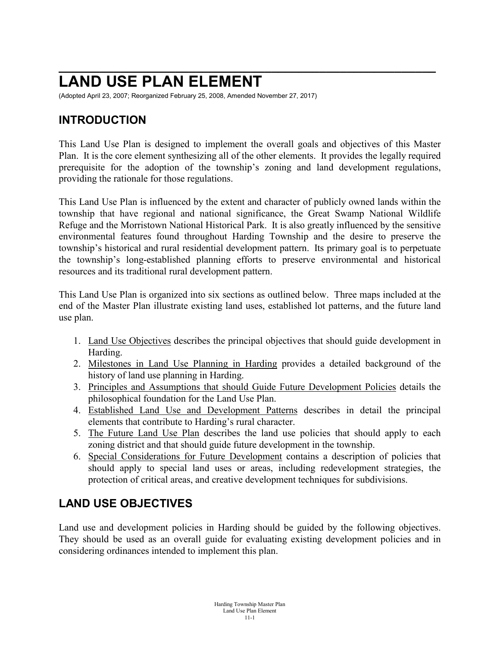# **\_\_\_\_\_\_\_\_\_\_\_\_\_\_\_\_\_\_\_\_\_\_\_\_\_\_\_\_\_\_\_\_\_\_\_\_\_\_\_\_\_\_\_\_\_\_\_\_\_\_\_\_\_\_\_ LAND USE PLAN ELEMENT**

(Adopted April 23, 2007; Reorganized February 25, 2008, Amended November 27, 2017)

#### **INTRODUCTION**

This Land Use Plan is designed to implement the overall goals and objectives of this Master Plan. It is the core element synthesizing all of the other elements. It provides the legally required prerequisite for the adoption of the township's zoning and land development regulations, providing the rationale for those regulations.

This Land Use Plan is influenced by the extent and character of publicly owned lands within the township that have regional and national significance, the Great Swamp National Wildlife Refuge and the Morristown National Historical Park. It is also greatly influenced by the sensitive environmental features found throughout Harding Township and the desire to preserve the township's historical and rural residential development pattern. Its primary goal is to perpetuate the township's long-established planning efforts to preserve environmental and historical resources and its traditional rural development pattern.

This Land Use Plan is organized into six sections as outlined below. Three maps included at the end of the Master Plan illustrate existing land uses, established lot patterns, and the future land use plan.

- 1. Land Use Objectives describes the principal objectives that should guide development in Harding.
- 2. Milestones in Land Use Planning in Harding provides a detailed background of the history of land use planning in Harding.
- 3. Principles and Assumptions that should Guide Future Development Policies details the philosophical foundation for the Land Use Plan.
- 4. Established Land Use and Development Patterns describes in detail the principal elements that contribute to Harding's rural character.
- 5. The Future Land Use Plan describes the land use policies that should apply to each zoning district and that should guide future development in the township.
- 6. Special Considerations for Future Development contains a description of policies that should apply to special land uses or areas, including redevelopment strategies, the protection of critical areas, and creative development techniques for subdivisions.

# **LAND USE OBJECTIVES**

Land use and development policies in Harding should be guided by the following objectives. They should be used as an overall guide for evaluating existing development policies and in considering ordinances intended to implement this plan.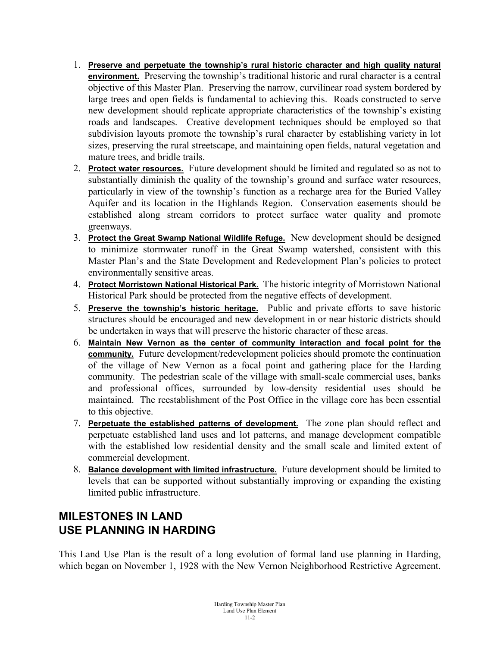- 1. **Preserve and perpetuate the township's rural historic character and high quality natural environment.** Preserving the township's traditional historic and rural character is a central objective of this Master Plan. Preserving the narrow, curvilinear road system bordered by large trees and open fields is fundamental to achieving this. Roads constructed to serve new development should replicate appropriate characteristics of the township's existing roads and landscapes. Creative development techniques should be employed so that subdivision layouts promote the township's rural character by establishing variety in lot sizes, preserving the rural streetscape, and maintaining open fields, natural vegetation and mature trees, and bridle trails.
- 2. **Protect water resources.** Future development should be limited and regulated so as not to substantially diminish the quality of the township's ground and surface water resources, particularly in view of the township's function as a recharge area for the Buried Valley Aquifer and its location in the Highlands Region. Conservation easements should be established along stream corridors to protect surface water quality and promote greenways.
- 3. **Protect the Great Swamp National Wildlife Refuge.** New development should be designed to minimize stormwater runoff in the Great Swamp watershed, consistent with this Master Plan's and the State Development and Redevelopment Plan's policies to protect environmentally sensitive areas.
- 4. **Protect Morristown National Historical Park.** The historic integrity of Morristown National Historical Park should be protected from the negative effects of development.
- 5. **Preserve the township's historic heritage.** Public and private efforts to save historic structures should be encouraged and new development in or near historic districts should be undertaken in ways that will preserve the historic character of these areas.
- 6. **Maintain New Vernon as the center of community interaction and focal point for the community.** Future development/redevelopment policies should promote the continuation of the village of New Vernon as a focal point and gathering place for the Harding community. The pedestrian scale of the village with small-scale commercial uses, banks and professional offices, surrounded by low-density residential uses should be maintained. The reestablishment of the Post Office in the village core has been essential to this objective.
- 7. **Perpetuate the established patterns of development.** The zone plan should reflect and perpetuate established land uses and lot patterns, and manage development compatible with the established low residential density and the small scale and limited extent of commercial development.
- 8. **Balance development with limited infrastructure.** Future development should be limited to levels that can be supported without substantially improving or expanding the existing limited public infrastructure.

#### **MILESTONES IN LAND USE PLANNING IN HARDING**

This Land Use Plan is the result of a long evolution of formal land use planning in Harding, which began on November 1, 1928 with the New Vernon Neighborhood Restrictive Agreement.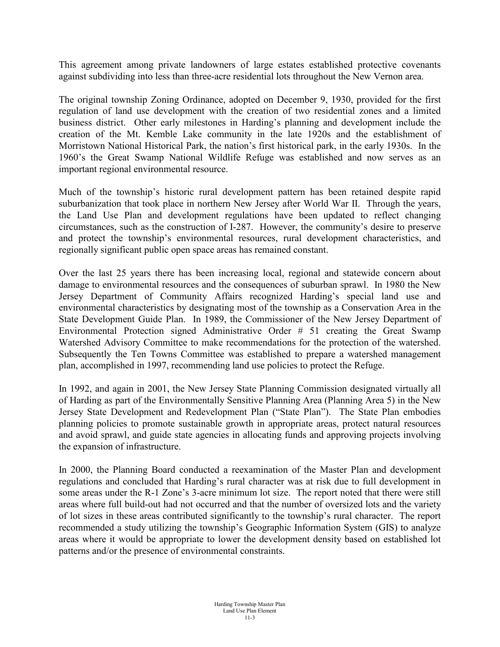This agreement among private landowners of large estates established protective covenants against subdividing into less than three-acre residential lots throughout the New Vernon area.

The original township Zoning Ordinance, adopted on December 9, 1930, provided for the first regulation of land use development with the creation of two residential zones and a limited business district. Other early milestones in Harding's planning and development include the creation of the Mt. Kemble Lake community in the late 1920s and the establishment of Morristown National Historical Park, the nation's first historical park, in the early 1930s. In the 1960's the Great Swamp National Wildlife Refuge was established and now serves as an important regional environmental resource.

Much of the township's historic rural development pattern has been retained despite rapid suburbanization that took place in northern New Jersey after World War II. Through the years, the Land Use Plan and development regulations have been updated to reflect changing circumstances, such as the construction of I-287. However, the community's desire to preserve and protect the township's environmental resources, rural development characteristics, and regionally significant public open space areas has remained constant.

Over the last 25 years there has been increasing local, regional and statewide concern about damage to environmental resources and the consequences of suburban sprawl. In 1980 the New Jersey Department of Community Affairs recognized Harding's special land use and environmental characteristics by designating most of the township as a Conservation Area in the State Development Guide Plan. In 1989, the Commissioner of the New Jersey Department of Environmental Protection signed Administrative Order # 51 creating the Great Swamp Watershed Advisory Committee to make recommendations for the protection of the watershed. Subsequently the Ten Towns Committee was established to prepare a watershed management plan, accomplished in 1997, recommending land use policies to protect the Refuge.

In 1992, and again in 2001, the New Jersey State Planning Commission designated virtually all of Harding as part of the Environmentally Sensitive Planning Area (Planning Area 5) in the New Jersey State Development and Redevelopment Plan ("State Plan"). The State Plan embodies planning policies to promote sustainable growth in appropriate areas, protect natural resources and avoid sprawl, and guide state agencies in allocating funds and approving projects involving the expansion of infrastructure.

In 2000, the Planning Board conducted a reexamination of the Master Plan and development regulations and concluded that Harding's rural character was at risk due to full development in some areas under the R-1 Zone's 3-acre minimum lot size. The report noted that there were still areas where full build-out had not occurred and that the number of oversized lots and the variety of lot sizes in these areas contributed significantly to the township's rural character. The report recommended a study utilizing the township's Geographic Information System (GIS) to analyze areas where it would be appropriate to lower the development density based on established lot patterns and/or the presence of environmental constraints.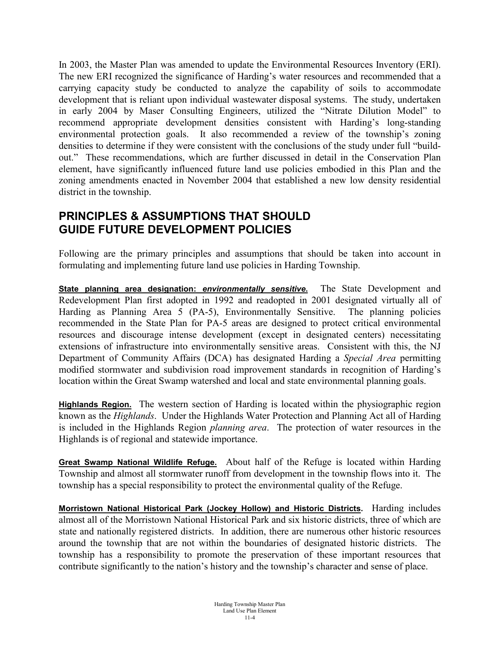In 2003, the Master Plan was amended to update the Environmental Resources Inventory (ERI). The new ERI recognized the significance of Harding's water resources and recommended that a carrying capacity study be conducted to analyze the capability of soils to accommodate development that is reliant upon individual wastewater disposal systems. The study, undertaken in early 2004 by Maser Consulting Engineers, utilized the "Nitrate Dilution Model" to recommend appropriate development densities consistent with Harding's long-standing environmental protection goals. It also recommended a review of the township's zoning densities to determine if they were consistent with the conclusions of the study under full "buildout." These recommendations, which are further discussed in detail in the Conservation Plan element, have significantly influenced future land use policies embodied in this Plan and the zoning amendments enacted in November 2004 that established a new low density residential district in the township.

#### **PRINCIPLES & ASSUMPTIONS THAT SHOULD GUIDE FUTURE DEVELOPMENT POLICIES**

Following are the primary principles and assumptions that should be taken into account in formulating and implementing future land use policies in Harding Township.

**State planning area designation:** *environmentally sensitive***.** The State Development and Redevelopment Plan first adopted in 1992 and readopted in 2001 designated virtually all of Harding as Planning Area 5 (PA-5), Environmentally Sensitive. The planning policies recommended in the State Plan for PA-5 areas are designed to protect critical environmental resources and discourage intense development (except in designated centers) necessitating extensions of infrastructure into environmentally sensitive areas. Consistent with this, the NJ Department of Community Affairs (DCA) has designated Harding a *Special Area* permitting modified stormwater and subdivision road improvement standards in recognition of Harding's location within the Great Swamp watershed and local and state environmental planning goals.

**Highlands Region.** The western section of Harding is located within the physiographic region known as the *Highlands*. Under the Highlands Water Protection and Planning Act all of Harding is included in the Highlands Region *planning area*. The protection of water resources in the Highlands is of regional and statewide importance.

**Great Swamp National Wildlife Refuge.** About half of the Refuge is located within Harding Township and almost all stormwater runoff from development in the township flows into it. The township has a special responsibility to protect the environmental quality of the Refuge.

**Morristown National Historical Park (Jockey Hollow) and Historic Districts.** Harding includes almost all of the Morristown National Historical Park and six historic districts, three of which are state and nationally registered districts. In addition, there are numerous other historic resources around the township that are not within the boundaries of designated historic districts. The township has a responsibility to promote the preservation of these important resources that contribute significantly to the nation's history and the township's character and sense of place.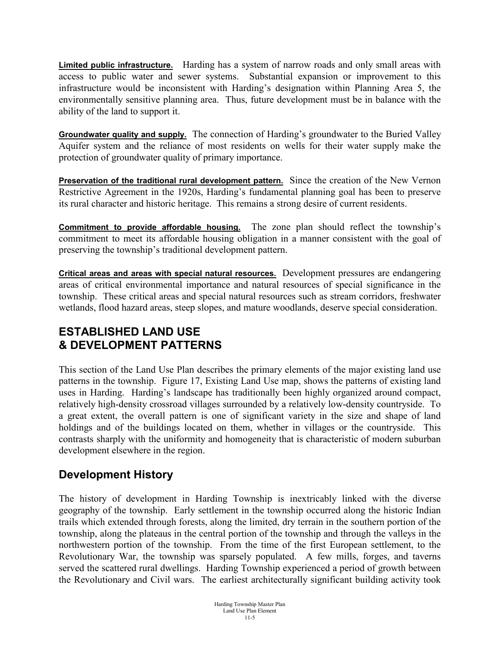**Limited public infrastructure.** Harding has a system of narrow roads and only small areas with access to public water and sewer systems. Substantial expansion or improvement to this infrastructure would be inconsistent with Harding's designation within Planning Area 5, the environmentally sensitive planning area. Thus, future development must be in balance with the ability of the land to support it.

**Groundwater quality and supply.** The connection of Harding's groundwater to the Buried Valley Aquifer system and the reliance of most residents on wells for their water supply make the protection of groundwater quality of primary importance.

**Preservation of the traditional rural development pattern.** Since the creation of the New Vernon Restrictive Agreement in the 1920s, Harding's fundamental planning goal has been to preserve its rural character and historic heritage. This remains a strong desire of current residents.

**Commitment to provide affordable housing.** The zone plan should reflect the township's commitment to meet its affordable housing obligation in a manner consistent with the goal of preserving the township's traditional development pattern.

**Critical areas and areas with special natural resources.** Development pressures are endangering areas of critical environmental importance and natural resources of special significance in the township. These critical areas and special natural resources such as stream corridors, freshwater wetlands, flood hazard areas, steep slopes, and mature woodlands, deserve special consideration.

# **ESTABLISHED LAND USE & DEVELOPMENT PATTERNS**

This section of the Land Use Plan describes the primary elements of the major existing land use patterns in the township. Figure 17, Existing Land Use map, shows the patterns of existing land uses in Harding. Harding's landscape has traditionally been highly organized around compact, relatively high-density crossroad villages surrounded by a relatively low-density countryside. To a great extent, the overall pattern is one of significant variety in the size and shape of land holdings and of the buildings located on them, whether in villages or the countryside. This contrasts sharply with the uniformity and homogeneity that is characteristic of modern suburban development elsewhere in the region.

#### **Development History**

The history of development in Harding Township is inextricably linked with the diverse geography of the township. Early settlement in the township occurred along the historic Indian trails which extended through forests, along the limited, dry terrain in the southern portion of the township, along the plateaus in the central portion of the township and through the valleys in the northwestern portion of the township. From the time of the first European settlement, to the Revolutionary War, the township was sparsely populated. A few mills, forges, and taverns served the scattered rural dwellings. Harding Township experienced a period of growth between the Revolutionary and Civil wars. The earliest architecturally significant building activity took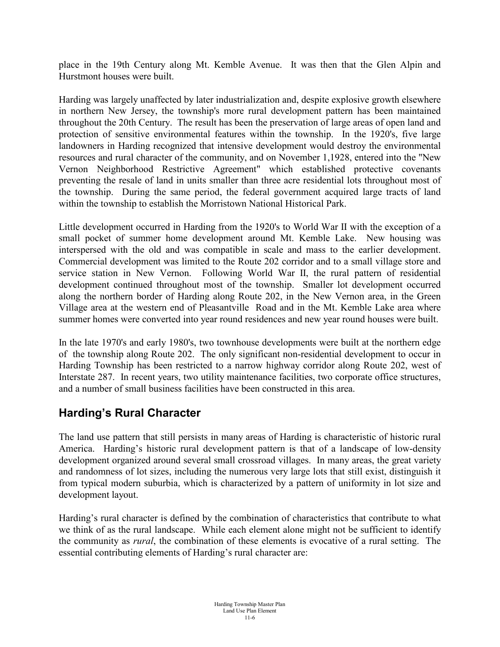place in the 19th Century along Mt. Kemble Avenue. It was then that the Glen Alpin and Hurstmont houses were built.

Harding was largely unaffected by later industrialization and, despite explosive growth elsewhere in northern New Jersey, the township's more rural development pattern has been maintained throughout the 20th Century. The result has been the preservation of large areas of open land and protection of sensitive environmental features within the township. In the 1920's, five large landowners in Harding recognized that intensive development would destroy the environmental resources and rural character of the community, and on November 1,1928, entered into the "New Vernon Neighborhood Restrictive Agreement" which established protective covenants preventing the resale of land in units smaller than three acre residential lots throughout most of the township. During the same period, the federal government acquired large tracts of land within the township to establish the Morristown National Historical Park.

Little development occurred in Harding from the 1920's to World War II with the exception of a small pocket of summer home development around Mt. Kemble Lake. New housing was interspersed with the old and was compatible in scale and mass to the earlier development. Commercial development was limited to the Route 202 corridor and to a small village store and service station in New Vernon. Following World War II, the rural pattern of residential development continued throughout most of the township. Smaller lot development occurred along the northern border of Harding along Route 202, in the New Vernon area, in the Green Village area at the western end of Pleasantville Road and in the Mt. Kemble Lake area where summer homes were converted into year round residences and new year round houses were built.

In the late 1970's and early 1980's, two townhouse developments were built at the northern edge of the township along Route 202. The only significant non-residential development to occur in Harding Township has been restricted to a narrow highway corridor along Route 202, west of Interstate 287. In recent years, two utility maintenance facilities, two corporate office structures, and a number of small business facilities have been constructed in this area.

# **Harding's Rural Character**

The land use pattern that still persists in many areas of Harding is characteristic of historic rural America. Harding's historic rural development pattern is that of a landscape of low-density development organized around several small crossroad villages. In many areas, the great variety and randomness of lot sizes, including the numerous very large lots that still exist, distinguish it from typical modern suburbia, which is characterized by a pattern of uniformity in lot size and development layout.

Harding's rural character is defined by the combination of characteristics that contribute to what we think of as the rural landscape. While each element alone might not be sufficient to identify the community as *rural*, the combination of these elements is evocative of a rural setting. The essential contributing elements of Harding's rural character are: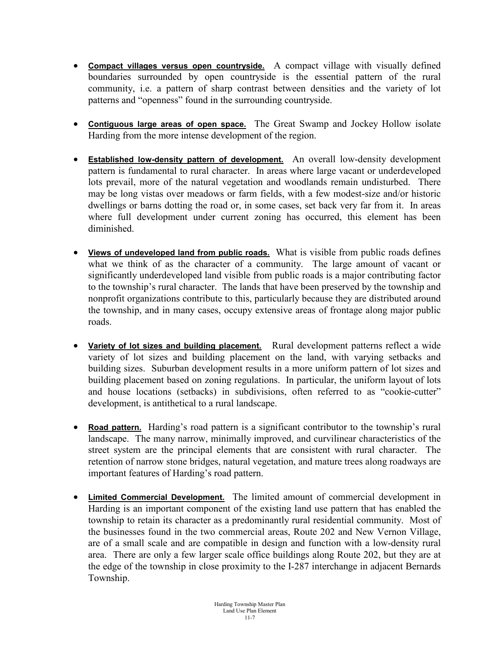- **Compact villages versus open countryside.** A compact village with visually defined boundaries surrounded by open countryside is the essential pattern of the rural community, i.e. a pattern of sharp contrast between densities and the variety of lot patterns and "openness" found in the surrounding countryside.
- **Contiguous large areas of open space.** The Great Swamp and Jockey Hollow isolate Harding from the more intense development of the region.
- **Established low-density pattern of development.** An overall low-density development pattern is fundamental to rural character. In areas where large vacant or underdeveloped lots prevail, more of the natural vegetation and woodlands remain undisturbed. There may be long vistas over meadows or farm fields, with a few modest-size and/or historic dwellings or barns dotting the road or, in some cases, set back very far from it. In areas where full development under current zoning has occurred, this element has been diminished.
- **Views of undeveloped land from public roads.** What is visible from public roads defines what we think of as the character of a community. The large amount of vacant or significantly underdeveloped land visible from public roads is a major contributing factor to the township's rural character. The lands that have been preserved by the township and nonprofit organizations contribute to this, particularly because they are distributed around the township, and in many cases, occupy extensive areas of frontage along major public roads.
- **Variety of lot sizes and building placement.** Rural development patterns reflect a wide variety of lot sizes and building placement on the land, with varying setbacks and building sizes. Suburban development results in a more uniform pattern of lot sizes and building placement based on zoning regulations. In particular, the uniform layout of lots and house locations (setbacks) in subdivisions, often referred to as "cookie-cutter" development, is antithetical to a rural landscape.
- **Road pattern.** Harding's road pattern is a significant contributor to the township's rural landscape. The many narrow, minimally improved, and curvilinear characteristics of the street system are the principal elements that are consistent with rural character. The retention of narrow stone bridges, natural vegetation, and mature trees along roadways are important features of Harding's road pattern.
- **Limited Commercial Development.** The limited amount of commercial development in Harding is an important component of the existing land use pattern that has enabled the township to retain its character as a predominantly rural residential community. Most of the businesses found in the two commercial areas, Route 202 and New Vernon Village, are of a small scale and are compatible in design and function with a low-density rural area. There are only a few larger scale office buildings along Route 202, but they are at the edge of the township in close proximity to the I-287 interchange in adjacent Bernards Township.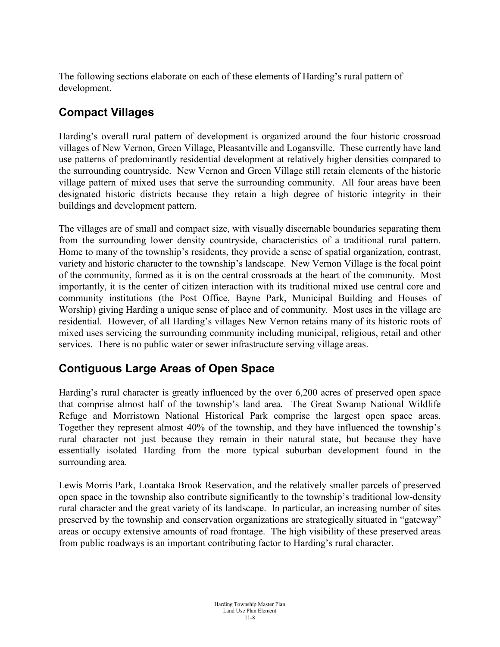The following sections elaborate on each of these elements of Harding's rural pattern of development.

# **Compact Villages**

Harding's overall rural pattern of development is organized around the four historic crossroad villages of New Vernon, Green Village, Pleasantville and Logansville. These currently have land use patterns of predominantly residential development at relatively higher densities compared to the surrounding countryside. New Vernon and Green Village still retain elements of the historic village pattern of mixed uses that serve the surrounding community. All four areas have been designated historic districts because they retain a high degree of historic integrity in their buildings and development pattern.

The villages are of small and compact size, with visually discernable boundaries separating them from the surrounding lower density countryside, characteristics of a traditional rural pattern. Home to many of the township's residents, they provide a sense of spatial organization, contrast, variety and historic character to the township's landscape. New Vernon Village is the focal point of the community, formed as it is on the central crossroads at the heart of the community. Most importantly, it is the center of citizen interaction with its traditional mixed use central core and community institutions (the Post Office, Bayne Park, Municipal Building and Houses of Worship) giving Harding a unique sense of place and of community. Most uses in the village are residential. However, of all Harding's villages New Vernon retains many of its historic roots of mixed uses servicing the surrounding community including municipal, religious, retail and other services. There is no public water or sewer infrastructure serving village areas.

# **Contiguous Large Areas of Open Space**

Harding's rural character is greatly influenced by the over 6,200 acres of preserved open space that comprise almost half of the township's land area. The Great Swamp National Wildlife Refuge and Morristown National Historical Park comprise the largest open space areas. Together they represent almost 40% of the township, and they have influenced the township's rural character not just because they remain in their natural state, but because they have essentially isolated Harding from the more typical suburban development found in the surrounding area.

Lewis Morris Park, Loantaka Brook Reservation, and the relatively smaller parcels of preserved open space in the township also contribute significantly to the township's traditional low-density rural character and the great variety of its landscape. In particular, an increasing number of sites preserved by the township and conservation organizations are strategically situated in "gateway" areas or occupy extensive amounts of road frontage. The high visibility of these preserved areas from public roadways is an important contributing factor to Harding's rural character.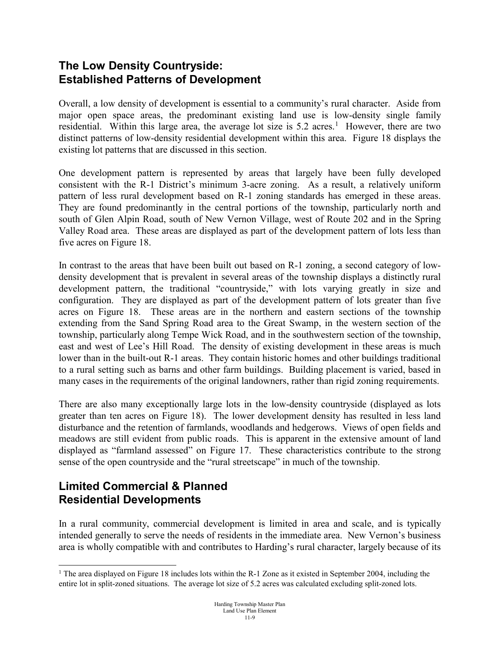#### **The Low Density Countryside: Established Patterns of Development**

Overall, a low density of development is essential to a community's rural character. Aside from major open space areas, the predominant existing land use is low-density single family residential. Within this large area, the average lot size is 5.2 acres.<sup>[1](#page-8-0)</sup> However, there are two distinct patterns of low-density residential development within this area. Figure 18 displays the existing lot patterns that are discussed in this section.

One development pattern is represented by areas that largely have been fully developed consistent with the R-1 District's minimum 3-acre zoning. As a result, a relatively uniform pattern of less rural development based on R-1 zoning standards has emerged in these areas. They are found predominantly in the central portions of the township, particularly north and south of Glen Alpin Road, south of New Vernon Village, west of Route 202 and in the Spring Valley Road area. These areas are displayed as part of the development pattern of lots less than five acres on Figure 18.

In contrast to the areas that have been built out based on R-1 zoning, a second category of lowdensity development that is prevalent in several areas of the township displays a distinctly rural development pattern, the traditional "countryside," with lots varying greatly in size and configuration. They are displayed as part of the development pattern of lots greater than five acres on Figure 18. These areas are in the northern and eastern sections of the township extending from the Sand Spring Road area to the Great Swamp, in the western section of the township, particularly along Tempe Wick Road, and in the southwestern section of the township, east and west of Lee's Hill Road. The density of existing development in these areas is much lower than in the built-out R-1 areas. They contain historic homes and other buildings traditional to a rural setting such as barns and other farm buildings. Building placement is varied, based in many cases in the requirements of the original landowners, rather than rigid zoning requirements.

There are also many exceptionally large lots in the low-density countryside (displayed as lots greater than ten acres on Figure 18). The lower development density has resulted in less land disturbance and the retention of farmlands, woodlands and hedgerows. Views of open fields and meadows are still evident from public roads. This is apparent in the extensive amount of land displayed as "farmland assessed" on Figure 17. These characteristics contribute to the strong sense of the open countryside and the "rural streetscape" in much of the township.

#### **Limited Commercial & Planned Residential Developments**

In a rural community, commercial development is limited in area and scale, and is typically intended generally to serve the needs of residents in the immediate area. New Vernon's business area is wholly compatible with and contributes to Harding's rural character, largely because of its

<span id="page-8-0"></span><sup>&</sup>lt;sup>1</sup> The area displayed on Figure 18 includes lots within the R-1 Zone as it existed in September 2004, including the entire lot in split-zoned situations. The average lot size of 5.2 acres was calculated excluding split-zoned lots.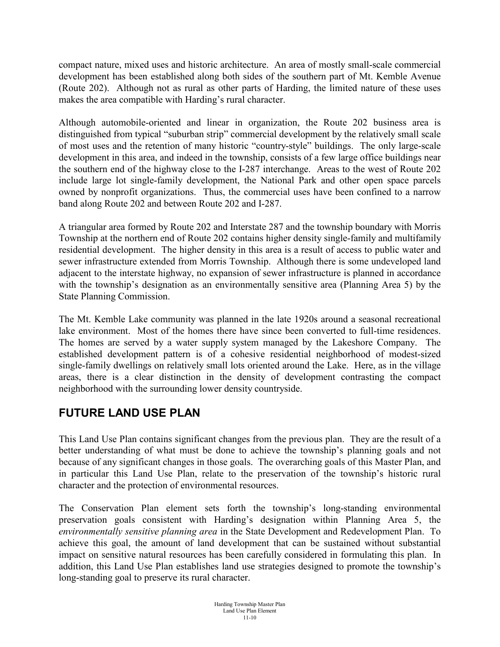compact nature, mixed uses and historic architecture. An area of mostly small-scale commercial development has been established along both sides of the southern part of Mt. Kemble Avenue (Route 202). Although not as rural as other parts of Harding, the limited nature of these uses makes the area compatible with Harding's rural character.

Although automobile-oriented and linear in organization, the Route 202 business area is distinguished from typical "suburban strip" commercial development by the relatively small scale of most uses and the retention of many historic "country-style" buildings. The only large-scale development in this area, and indeed in the township, consists of a few large office buildings near the southern end of the highway close to the I-287 interchange. Areas to the west of Route 202 include large lot single-family development, the National Park and other open space parcels owned by nonprofit organizations. Thus, the commercial uses have been confined to a narrow band along Route 202 and between Route 202 and I-287.

A triangular area formed by Route 202 and Interstate 287 and the township boundary with Morris Township at the northern end of Route 202 contains higher density single-family and multifamily residential development. The higher density in this area is a result of access to public water and sewer infrastructure extended from Morris Township. Although there is some undeveloped land adjacent to the interstate highway, no expansion of sewer infrastructure is planned in accordance with the township's designation as an environmentally sensitive area (Planning Area 5) by the State Planning Commission.

The Mt. Kemble Lake community was planned in the late 1920s around a seasonal recreational lake environment. Most of the homes there have since been converted to full-time residences. The homes are served by a water supply system managed by the Lakeshore Company. The established development pattern is of a cohesive residential neighborhood of modest-sized single-family dwellings on relatively small lots oriented around the Lake. Here, as in the village areas, there is a clear distinction in the density of development contrasting the compact neighborhood with the surrounding lower density countryside.

# **FUTURE LAND USE PLAN**

This Land Use Plan contains significant changes from the previous plan. They are the result of a better understanding of what must be done to achieve the township's planning goals and not because of any significant changes in those goals. The overarching goals of this Master Plan, and in particular this Land Use Plan, relate to the preservation of the township's historic rural character and the protection of environmental resources.

The Conservation Plan element sets forth the township's long-standing environmental preservation goals consistent with Harding's designation within Planning Area 5, the *environmentally sensitive planning area* in the State Development and Redevelopment Plan. To achieve this goal, the amount of land development that can be sustained without substantial impact on sensitive natural resources has been carefully considered in formulating this plan. In addition, this Land Use Plan establishes land use strategies designed to promote the township's long-standing goal to preserve its rural character.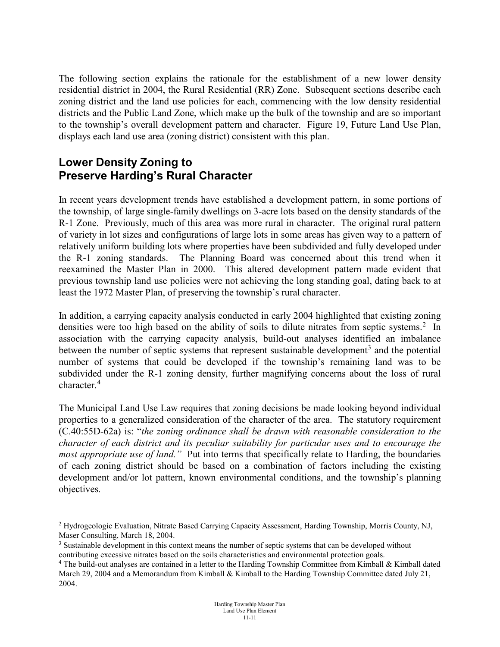The following section explains the rationale for the establishment of a new lower density residential district in 2004, the Rural Residential (RR) Zone. Subsequent sections describe each zoning district and the land use policies for each, commencing with the low density residential districts and the Public Land Zone, which make up the bulk of the township and are so important to the township's overall development pattern and character. Figure 19, Future Land Use Plan, displays each land use area (zoning district) consistent with this plan.

#### **Lower Density Zoning to Preserve Harding's Rural Character**

In recent years development trends have established a development pattern, in some portions of the township, of large single-family dwellings on 3-acre lots based on the density standards of the R-1 Zone. Previously, much of this area was more rural in character. The original rural pattern of variety in lot sizes and configurations of large lots in some areas has given way to a pattern of relatively uniform building lots where properties have been subdivided and fully developed under the R-1 zoning standards. The Planning Board was concerned about this trend when it reexamined the Master Plan in 2000. This altered development pattern made evident that previous township land use policies were not achieving the long standing goal, dating back to at least the 1972 Master Plan, of preserving the township's rural character.

In addition, a carrying capacity analysis conducted in early 2004 highlighted that existing zoning densities were too high based on the ability of soils to dilute nitrates from septic systems.<sup>[2](#page-10-0)</sup> In association with the carrying capacity analysis, build-out analyses identified an imbalance between the number of septic systems that represent sustainable development<sup>[3](#page-10-1)</sup> and the potential number of systems that could be developed if the township's remaining land was to be subdivided under the R-1 zoning density, further magnifying concerns about the loss of rural character.<sup>[4](#page-10-2)</sup>

The Municipal Land Use Law requires that zoning decisions be made looking beyond individual properties to a generalized consideration of the character of the area. The statutory requirement (C.40:55D-62a) is: "*the zoning ordinance shall be drawn with reasonable consideration to the character of each district and its peculiar suitability for particular uses and to encourage the most appropriate use of land.*" Put into terms that specifically relate to Harding, the boundaries of each zoning district should be based on a combination of factors including the existing development and/or lot pattern, known environmental conditions, and the township's planning objectives.

<span id="page-10-0"></span> <sup>2</sup> Hydrogeologic Evaluation, Nitrate Based Carrying Capacity Assessment, Harding Township, Morris County, NJ, Maser Consulting, March 18, 2004.

<span id="page-10-1"></span><sup>&</sup>lt;sup>3</sup> Sustainable development in this context means the number of septic systems that can be developed without contributing excessive nitrates based on the soils characteristics and environmental protection goals.

<span id="page-10-2"></span><sup>4</sup> The build-out analyses are contained in a letter to the Harding Township Committee from Kimball & Kimball dated March 29, 2004 and a Memorandum from Kimball & Kimball to the Harding Township Committee dated July 21, 2004.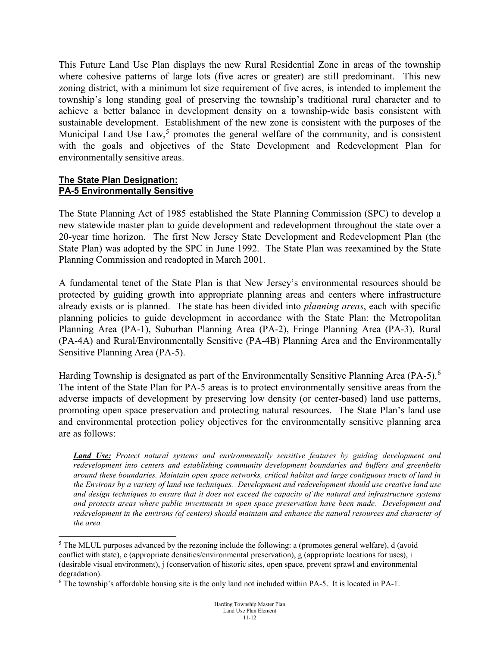This Future Land Use Plan displays the new Rural Residential Zone in areas of the township where cohesive patterns of large lots (five acres or greater) are still predominant. This new zoning district, with a minimum lot size requirement of five acres, is intended to implement the township's long standing goal of preserving the township's traditional rural character and to achieve a better balance in development density on a township-wide basis consistent with sustainable development. Establishment of the new zone is consistent with the purposes of the Municipal Land Use  $Law<sub>5</sub><sup>5</sup>$  $Law<sub>5</sub><sup>5</sup>$  $Law<sub>5</sub><sup>5</sup>$  promotes the general welfare of the community, and is consistent with the goals and objectives of the State Development and Redevelopment Plan for environmentally sensitive areas.

#### **The State Plan Designation: PA-5 Environmentally Sensitive**

The State Planning Act of 1985 established the State Planning Commission (SPC) to develop a new statewide master plan to guide development and redevelopment throughout the state over a 20-year time horizon. The first New Jersey State Development and Redevelopment Plan (the State Plan) was adopted by the SPC in June 1992. The State Plan was reexamined by the State Planning Commission and readopted in March 2001.

A fundamental tenet of the State Plan is that New Jersey's environmental resources should be protected by guiding growth into appropriate planning areas and centers where infrastructure already exists or is planned. The state has been divided into *planning areas*, each with specific planning policies to guide development in accordance with the State Plan: the Metropolitan Planning Area (PA-1), Suburban Planning Area (PA-2), Fringe Planning Area (PA-3), Rural (PA-4A) and Rural/Environmentally Sensitive (PA-4B) Planning Area and the Environmentally Sensitive Planning Area (PA-5).

Harding Township is designated as part of the Environmentally Sensitive Planning Area (PA-5).<sup>[6](#page-11-1)</sup> The intent of the State Plan for PA-5 areas is to protect environmentally sensitive areas from the adverse impacts of development by preserving low density (or center-based) land use patterns, promoting open space preservation and protecting natural resources. The State Plan's land use and environmental protection policy objectives for the environmentally sensitive planning area are as follows:

*Land Use: Protect natural systems and environmentally sensitive features by guiding development and redevelopment into centers and establishing community development boundaries and buffers and greenbelts around these boundaries. Maintain open space networks, critical habitat and large contiguous tracts of land in the Environs by a variety of land use techniques. Development and redevelopment should use creative land use and design techniques to ensure that it does not exceed the capacity of the natural and infrastructure systems and protects areas where public investments in open space preservation have been made. Development and*  redevelopment in the environs (of centers) should maintain and enhance the natural resources and character of *the area.* 

<span id="page-11-0"></span><sup>&</sup>lt;sup>5</sup> The MLUL purposes advanced by the rezoning include the following: a (promotes general welfare), d (avoid conflict with state), e (appropriate densities/environmental preservation), g (appropriate locations for uses), i (desirable visual environment), j (conservation of historic sites, open space, prevent sprawl and environmental degradation).

<span id="page-11-1"></span><sup>6</sup> The township's affordable housing site is the only land not included within PA-5. It is located in PA-1.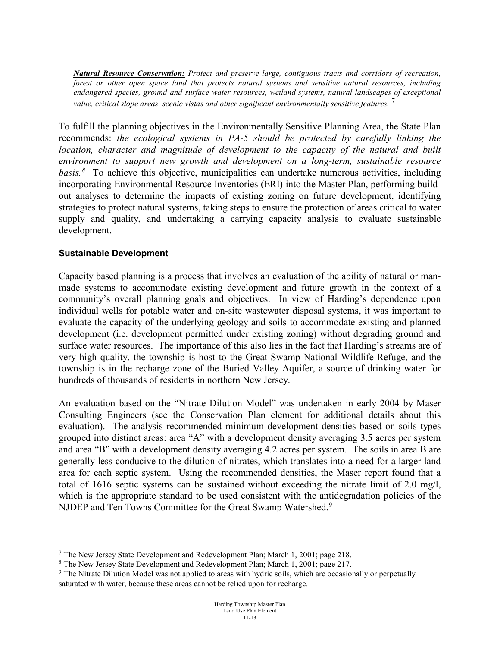*Natural Resource Conservation: Protect and preserve large, contiguous tracts and corridors of recreation, forest or other open space land that protects natural systems and sensitive natural resources, including endangered species, ground and surface water resources, wetland systems, natural landscapes of exceptional value, critical slope areas, scenic vistas and other significant environmentally sensitive features.* [7](#page-12-0)

To fulfill the planning objectives in the Environmentally Sensitive Planning Area, the State Plan recommends: *the ecological systems in PA-5 should be protected by carefully linking the location, character and magnitude of development to the capacity of the natural and built environment to support new growth and development on a long-term, sustainable resource*  basis.<sup>[8](#page-12-1)</sup> To achieve this objective, municipalities can undertake numerous activities, including incorporating Environmental Resource Inventories (ERI) into the Master Plan, performing buildout analyses to determine the impacts of existing zoning on future development, identifying strategies to protect natural systems, taking steps to ensure the protection of areas critical to water supply and quality, and undertaking a carrying capacity analysis to evaluate sustainable development.

#### **Sustainable Development**

Capacity based planning is a process that involves an evaluation of the ability of natural or manmade systems to accommodate existing development and future growth in the context of a community's overall planning goals and objectives. In view of Harding's dependence upon individual wells for potable water and on-site wastewater disposal systems, it was important to evaluate the capacity of the underlying geology and soils to accommodate existing and planned development (i.e. development permitted under existing zoning) without degrading ground and surface water resources. The importance of this also lies in the fact that Harding's streams are of very high quality, the township is host to the Great Swamp National Wildlife Refuge, and the township is in the recharge zone of the Buried Valley Aquifer, a source of drinking water for hundreds of thousands of residents in northern New Jersey.

An evaluation based on the "Nitrate Dilution Model" was undertaken in early 2004 by Maser Consulting Engineers (see the Conservation Plan element for additional details about this evaluation). The analysis recommended minimum development densities based on soils types grouped into distinct areas: area "A" with a development density averaging 3.5 acres per system and area "B" with a development density averaging 4.2 acres per system. The soils in area B are generally less conducive to the dilution of nitrates, which translates into a need for a larger land area for each septic system. Using the recommended densities, the Maser report found that a total of 1616 septic systems can be sustained without exceeding the nitrate limit of 2.0 mg/l, which is the appropriate standard to be used consistent with the antidegradation policies of the NJDEP and Ten Towns Committee for the Great Swamp Watershed.<sup>[9](#page-12-2)</sup>

<span id="page-12-0"></span> <sup>7</sup> The New Jersey State Development and Redevelopment Plan; March 1, 2001; page 218.

<span id="page-12-1"></span><sup>8</sup> The New Jersey State Development and Redevelopment Plan; March 1, 2001; page 217.

<span id="page-12-2"></span><sup>9</sup> The Nitrate Dilution Model was not applied to areas with hydric soils, which are occasionally or perpetually saturated with water, because these areas cannot be relied upon for recharge.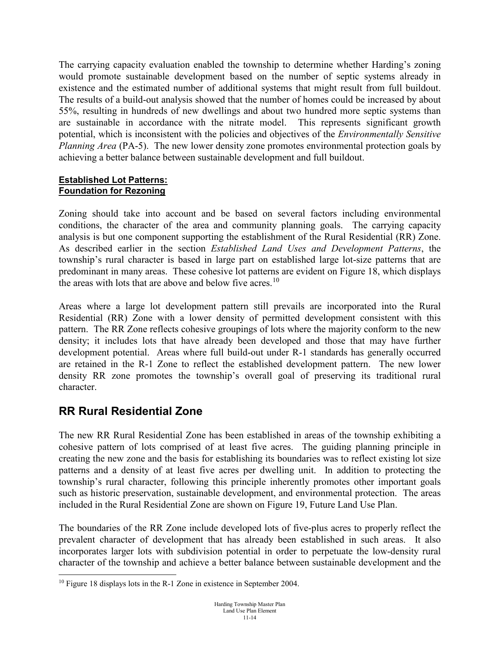The carrying capacity evaluation enabled the township to determine whether Harding's zoning would promote sustainable development based on the number of septic systems already in existence and the estimated number of additional systems that might result from full buildout. The results of a build-out analysis showed that the number of homes could be increased by about 55%, resulting in hundreds of new dwellings and about two hundred more septic systems than are sustainable in accordance with the nitrate model. This represents significant growth potential, which is inconsistent with the policies and objectives of the *Environmentally Sensitive Planning Area* (PA-5). The new lower density zone promotes environmental protection goals by achieving a better balance between sustainable development and full buildout.

#### **Established Lot Patterns: Foundation for Rezoning**

Zoning should take into account and be based on several factors including environmental conditions, the character of the area and community planning goals. The carrying capacity analysis is but one component supporting the establishment of the Rural Residential (RR) Zone. As described earlier in the section *Established Land Uses and Development Patterns*, the township's rural character is based in large part on established large lot-size patterns that are predominant in many areas. These cohesive lot patterns are evident on Figure 18, which displays the areas with lots that are above and below five acres.<sup>[10](#page-13-0)</sup>

Areas where a large lot development pattern still prevails are incorporated into the Rural Residential (RR) Zone with a lower density of permitted development consistent with this pattern. The RR Zone reflects cohesive groupings of lots where the majority conform to the new density; it includes lots that have already been developed and those that may have further development potential. Areas where full build-out under R-1 standards has generally occurred are retained in the R-1 Zone to reflect the established development pattern. The new lower density RR zone promotes the township's overall goal of preserving its traditional rural character.

#### **RR Rural Residential Zone**

The new RR Rural Residential Zone has been established in areas of the township exhibiting a cohesive pattern of lots comprised of at least five acres. The guiding planning principle in creating the new zone and the basis for establishing its boundaries was to reflect existing lot size patterns and a density of at least five acres per dwelling unit. In addition to protecting the township's rural character, following this principle inherently promotes other important goals such as historic preservation, sustainable development, and environmental protection. The areas included in the Rural Residential Zone are shown on Figure 19, Future Land Use Plan.

The boundaries of the RR Zone include developed lots of five-plus acres to properly reflect the prevalent character of development that has already been established in such areas. It also incorporates larger lots with subdivision potential in order to perpetuate the low-density rural character of the township and achieve a better balance between sustainable development and the

<span id="page-13-0"></span><sup>&</sup>lt;sup>10</sup> Figure 18 displays lots in the R-1 Zone in existence in September 2004.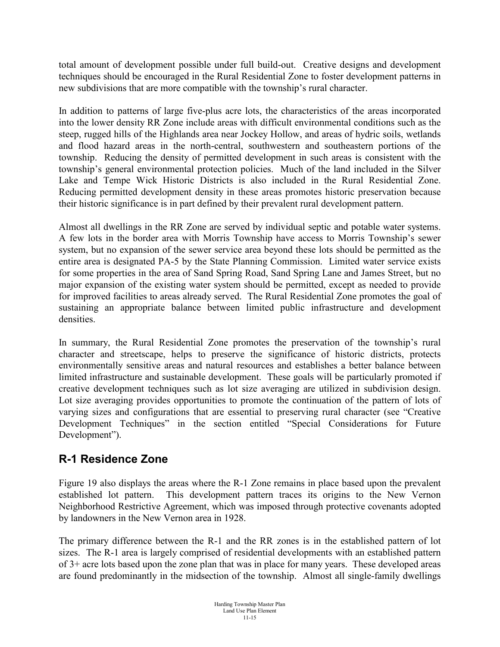total amount of development possible under full build-out. Creative designs and development techniques should be encouraged in the Rural Residential Zone to foster development patterns in new subdivisions that are more compatible with the township's rural character.

In addition to patterns of large five-plus acre lots, the characteristics of the areas incorporated into the lower density RR Zone include areas with difficult environmental conditions such as the steep, rugged hills of the Highlands area near Jockey Hollow, and areas of hydric soils, wetlands and flood hazard areas in the north-central, southwestern and southeastern portions of the township. Reducing the density of permitted development in such areas is consistent with the township's general environmental protection policies. Much of the land included in the Silver Lake and Tempe Wick Historic Districts is also included in the Rural Residential Zone. Reducing permitted development density in these areas promotes historic preservation because their historic significance is in part defined by their prevalent rural development pattern.

Almost all dwellings in the RR Zone are served by individual septic and potable water systems. A few lots in the border area with Morris Township have access to Morris Township's sewer system, but no expansion of the sewer service area beyond these lots should be permitted as the entire area is designated PA-5 by the State Planning Commission. Limited water service exists for some properties in the area of Sand Spring Road, Sand Spring Lane and James Street, but no major expansion of the existing water system should be permitted, except as needed to provide for improved facilities to areas already served. The Rural Residential Zone promotes the goal of sustaining an appropriate balance between limited public infrastructure and development densities.

In summary, the Rural Residential Zone promotes the preservation of the township's rural character and streetscape, helps to preserve the significance of historic districts, protects environmentally sensitive areas and natural resources and establishes a better balance between limited infrastructure and sustainable development. These goals will be particularly promoted if creative development techniques such as lot size averaging are utilized in subdivision design. Lot size averaging provides opportunities to promote the continuation of the pattern of lots of varying sizes and configurations that are essential to preserving rural character (see "Creative Development Techniques" in the section entitled "Special Considerations for Future Development").

# **R-1 Residence Zone**

Figure 19 also displays the areas where the R-1 Zone remains in place based upon the prevalent established lot pattern. This development pattern traces its origins to the New Vernon Neighborhood Restrictive Agreement, which was imposed through protective covenants adopted by landowners in the New Vernon area in 1928.

The primary difference between the R-1 and the RR zones is in the established pattern of lot sizes. The R-1 area is largely comprised of residential developments with an established pattern of 3+ acre lots based upon the zone plan that was in place for many years. These developed areas are found predominantly in the midsection of the township. Almost all single-family dwellings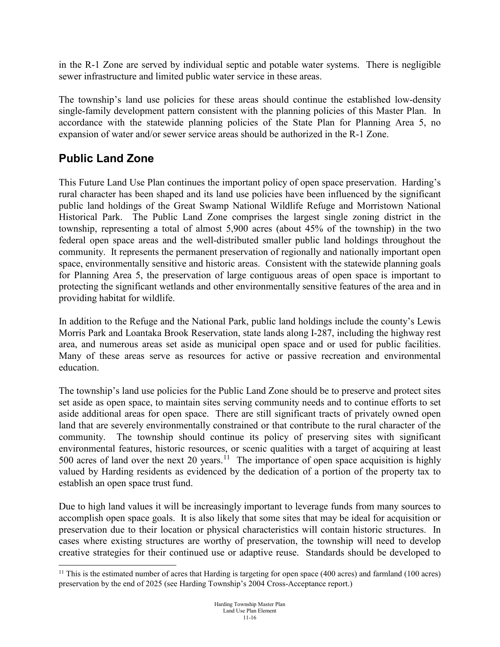in the R-1 Zone are served by individual septic and potable water systems. There is negligible sewer infrastructure and limited public water service in these areas.

The township's land use policies for these areas should continue the established low-density single-family development pattern consistent with the planning policies of this Master Plan. In accordance with the statewide planning policies of the State Plan for Planning Area 5, no expansion of water and/or sewer service areas should be authorized in the R-1 Zone.

# **Public Land Zone**

This Future Land Use Plan continues the important policy of open space preservation. Harding's rural character has been shaped and its land use policies have been influenced by the significant public land holdings of the Great Swamp National Wildlife Refuge and Morristown National Historical Park. The Public Land Zone comprises the largest single zoning district in the township, representing a total of almost 5,900 acres (about 45% of the township) in the two federal open space areas and the well-distributed smaller public land holdings throughout the community. It represents the permanent preservation of regionally and nationally important open space, environmentally sensitive and historic areas. Consistent with the statewide planning goals for Planning Area 5, the preservation of large contiguous areas of open space is important to protecting the significant wetlands and other environmentally sensitive features of the area and in providing habitat for wildlife.

In addition to the Refuge and the National Park, public land holdings include the county's Lewis Morris Park and Loantaka Brook Reservation, state lands along I-287, including the highway rest area, and numerous areas set aside as municipal open space and or used for public facilities. Many of these areas serve as resources for active or passive recreation and environmental education.

The township's land use policies for the Public Land Zone should be to preserve and protect sites set aside as open space, to maintain sites serving community needs and to continue efforts to set aside additional areas for open space. There are still significant tracts of privately owned open land that are severely environmentally constrained or that contribute to the rural character of the community. The township should continue its policy of preserving sites with significant environmental features, historic resources, or scenic qualities with a target of acquiring at least 500 acres of land over the next 20 years.<sup>11</sup> The importance of open space acquisition is highly valued by Harding residents as evidenced by the dedication of a portion of the property tax to establish an open space trust fund.

Due to high land values it will be increasingly important to leverage funds from many sources to accomplish open space goals. It is also likely that some sites that may be ideal for acquisition or preservation due to their location or physical characteristics will contain historic structures. In cases where existing structures are worthy of preservation, the township will need to develop creative strategies for their continued use or adaptive reuse. Standards should be developed to

<span id="page-15-0"></span> $11$  This is the estimated number of acres that Harding is targeting for open space (400 acres) and farmland (100 acres) preservation by the end of 2025 (see Harding Township's 2004 Cross-Acceptance report.)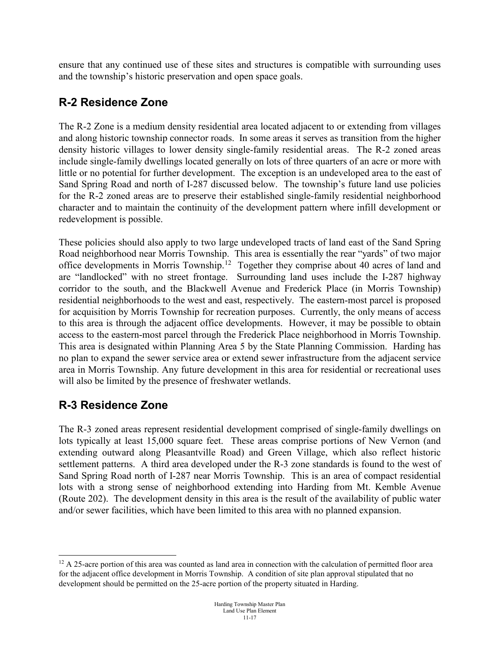ensure that any continued use of these sites and structures is compatible with surrounding uses and the township's historic preservation and open space goals.

#### **R-2 Residence Zone**

The R-2 Zone is a medium density residential area located adjacent to or extending from villages and along historic township connector roads. In some areas it serves as transition from the higher density historic villages to lower density single-family residential areas. The R-2 zoned areas include single-family dwellings located generally on lots of three quarters of an acre or more with little or no potential for further development. The exception is an undeveloped area to the east of Sand Spring Road and north of I-287 discussed below. The township's future land use policies for the R-2 zoned areas are to preserve their established single-family residential neighborhood character and to maintain the continuity of the development pattern where infill development or redevelopment is possible.

These policies should also apply to two large undeveloped tracts of land east of the Sand Spring Road neighborhood near Morris Township. This area is essentially the rear "yards" of two major office developments in Morris Township.[12](#page-16-0) Together they comprise about 40 acres of land and are "landlocked" with no street frontage. Surrounding land uses include the I-287 highway corridor to the south, and the Blackwell Avenue and Frederick Place (in Morris Township) residential neighborhoods to the west and east, respectively. The eastern-most parcel is proposed for acquisition by Morris Township for recreation purposes. Currently, the only means of access to this area is through the adjacent office developments. However, it may be possible to obtain access to the eastern-most parcel through the Frederick Place neighborhood in Morris Township. This area is designated within Planning Area 5 by the State Planning Commission. Harding has no plan to expand the sewer service area or extend sewer infrastructure from the adjacent service area in Morris Township. Any future development in this area for residential or recreational uses will also be limited by the presence of freshwater wetlands.

#### **R-3 Residence Zone**

The R-3 zoned areas represent residential development comprised of single-family dwellings on lots typically at least 15,000 square feet. These areas comprise portions of New Vernon (and extending outward along Pleasantville Road) and Green Village, which also reflect historic settlement patterns. A third area developed under the R-3 zone standards is found to the west of Sand Spring Road north of I-287 near Morris Township. This is an area of compact residential lots with a strong sense of neighborhood extending into Harding from Mt. Kemble Avenue (Route 202). The development density in this area is the result of the availability of public water and/or sewer facilities, which have been limited to this area with no planned expansion.

<span id="page-16-0"></span> $12$  A 25-acre portion of this area was counted as land area in connection with the calculation of permitted floor area for the adjacent office development in Morris Township. A condition of site plan approval stipulated that no development should be permitted on the 25-acre portion of the property situated in Harding.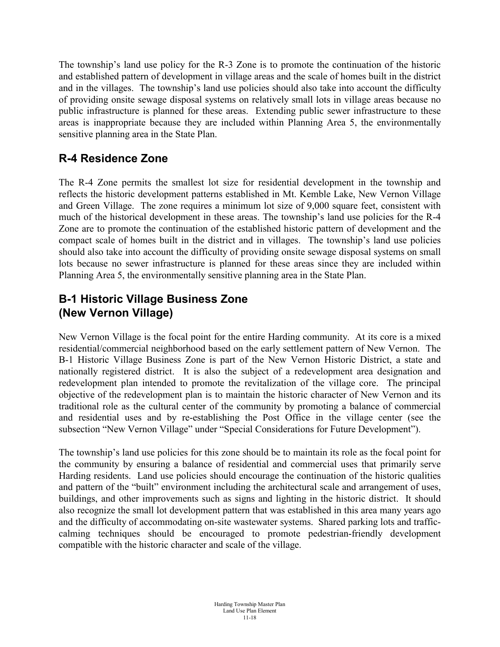The township's land use policy for the R-3 Zone is to promote the continuation of the historic and established pattern of development in village areas and the scale of homes built in the district and in the villages. The township's land use policies should also take into account the difficulty of providing onsite sewage disposal systems on relatively small lots in village areas because no public infrastructure is planned for these areas. Extending public sewer infrastructure to these areas is inappropriate because they are included within Planning Area 5, the environmentally sensitive planning area in the State Plan.

# **R-4 Residence Zone**

The R-4 Zone permits the smallest lot size for residential development in the township and reflects the historic development patterns established in Mt. Kemble Lake, New Vernon Village and Green Village. The zone requires a minimum lot size of 9,000 square feet, consistent with much of the historical development in these areas. The township's land use policies for the R-4 Zone are to promote the continuation of the established historic pattern of development and the compact scale of homes built in the district and in villages. The township's land use policies should also take into account the difficulty of providing onsite sewage disposal systems on small lots because no sewer infrastructure is planned for these areas since they are included within Planning Area 5, the environmentally sensitive planning area in the State Plan.

#### **B-1 Historic Village Business Zone (New Vernon Village)**

New Vernon Village is the focal point for the entire Harding community. At its core is a mixed residential/commercial neighborhood based on the early settlement pattern of New Vernon. The B-1 Historic Village Business Zone is part of the New Vernon Historic District, a state and nationally registered district. It is also the subject of a redevelopment area designation and redevelopment plan intended to promote the revitalization of the village core. The principal objective of the redevelopment plan is to maintain the historic character of New Vernon and its traditional role as the cultural center of the community by promoting a balance of commercial and residential uses and by re-establishing the Post Office in the village center (see the subsection "New Vernon Village" under "Special Considerations for Future Development").

The township's land use policies for this zone should be to maintain its role as the focal point for the community by ensuring a balance of residential and commercial uses that primarily serve Harding residents. Land use policies should encourage the continuation of the historic qualities and pattern of the "built" environment including the architectural scale and arrangement of uses, buildings, and other improvements such as signs and lighting in the historic district. It should also recognize the small lot development pattern that was established in this area many years ago and the difficulty of accommodating on-site wastewater systems. Shared parking lots and trafficcalming techniques should be encouraged to promote pedestrian-friendly development compatible with the historic character and scale of the village.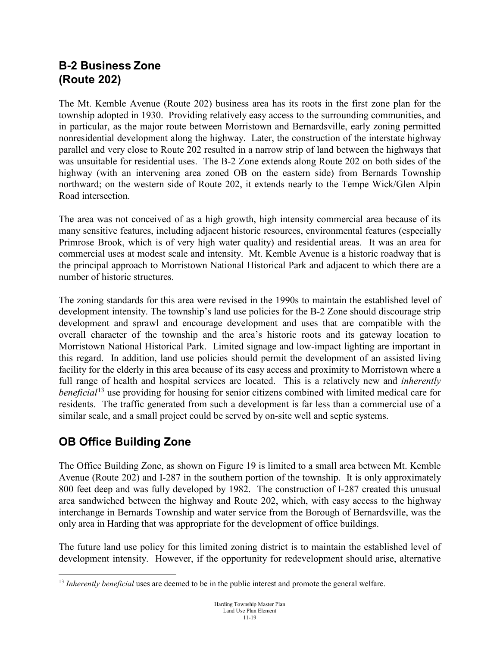#### **B-2 Business Zone (Route 202)**

The Mt. Kemble Avenue (Route 202) business area has its roots in the first zone plan for the township adopted in 1930. Providing relatively easy access to the surrounding communities, and in particular, as the major route between Morristown and Bernardsville, early zoning permitted nonresidential development along the highway. Later, the construction of the interstate highway parallel and very close to Route 202 resulted in a narrow strip of land between the highways that was unsuitable for residential uses. The B-2 Zone extends along Route 202 on both sides of the highway (with an intervening area zoned OB on the eastern side) from Bernards Township northward; on the western side of Route 202, it extends nearly to the Tempe Wick/Glen Alpin Road intersection.

The area was not conceived of as a high growth, high intensity commercial area because of its many sensitive features, including adjacent historic resources, environmental features (especially Primrose Brook, which is of very high water quality) and residential areas. It was an area for commercial uses at modest scale and intensity. Mt. Kemble Avenue is a historic roadway that is the principal approach to Morristown National Historical Park and adjacent to which there are a number of historic structures.

The zoning standards for this area were revised in the 1990s to maintain the established level of development intensity. The township's land use policies for the B-2 Zone should discourage strip development and sprawl and encourage development and uses that are compatible with the overall character of the township and the area's historic roots and its gateway location to Morristown National Historical Park. Limited signage and low-impact lighting are important in this regard. In addition, land use policies should permit the development of an assisted living facility for the elderly in this area because of its easy access and proximity to Morristown where a full range of health and hospital services are located. This is a relatively new and *inherently beneficial*[13](#page-18-0) use providing for housing for senior citizens combined with limited medical care for residents. The traffic generated from such a development is far less than a commercial use of a similar scale, and a small project could be served by on-site well and septic systems.

# **OB Office Building Zone**

The Office Building Zone, as shown on Figure 19 is limited to a small area between Mt. Kemble Avenue (Route 202) and I-287 in the southern portion of the township. It is only approximately 800 feet deep and was fully developed by 1982. The construction of I-287 created this unusual area sandwiched between the highway and Route 202, which, with easy access to the highway interchange in Bernards Township and water service from the Borough of Bernardsville, was the only area in Harding that was appropriate for the development of office buildings.

The future land use policy for this limited zoning district is to maintain the established level of development intensity. However, if the opportunity for redevelopment should arise, alternative

<span id="page-18-0"></span> <sup>13</sup> *Inherently beneficial* uses are deemed to be in the public interest and promote the general welfare.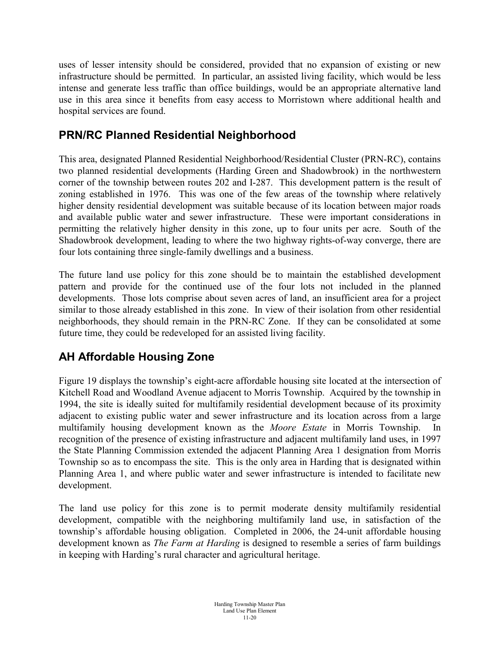uses of lesser intensity should be considered, provided that no expansion of existing or new infrastructure should be permitted. In particular, an assisted living facility, which would be less intense and generate less traffic than office buildings, would be an appropriate alternative land use in this area since it benefits from easy access to Morristown where additional health and hospital services are found.

#### **PRN/RC Planned Residential Neighborhood**

This area, designated Planned Residential Neighborhood/Residential Cluster (PRN-RC), contains two planned residential developments (Harding Green and Shadowbrook) in the northwestern corner of the township between routes 202 and I-287. This development pattern is the result of zoning established in 1976. This was one of the few areas of the township where relatively higher density residential development was suitable because of its location between major roads and available public water and sewer infrastructure. These were important considerations in permitting the relatively higher density in this zone, up to four units per acre. South of the Shadowbrook development, leading to where the two highway rights-of-way converge, there are four lots containing three single-family dwellings and a business.

The future land use policy for this zone should be to maintain the established development pattern and provide for the continued use of the four lots not included in the planned developments. Those lots comprise about seven acres of land, an insufficient area for a project similar to those already established in this zone. In view of their isolation from other residential neighborhoods, they should remain in the PRN-RC Zone. If they can be consolidated at some future time, they could be redeveloped for an assisted living facility.

#### **AH Affordable Housing Zone**

Figure 19 displays the township's eight-acre affordable housing site located at the intersection of Kitchell Road and Woodland Avenue adjacent to Morris Township. Acquired by the township in 1994, the site is ideally suited for multifamily residential development because of its proximity adjacent to existing public water and sewer infrastructure and its location across from a large multifamily housing development known as the *Moore Estate* in Morris Township. recognition of the presence of existing infrastructure and adjacent multifamily land uses, in 1997 the State Planning Commission extended the adjacent Planning Area 1 designation from Morris Township so as to encompass the site. This is the only area in Harding that is designated within Planning Area 1, and where public water and sewer infrastructure is intended to facilitate new development.

The land use policy for this zone is to permit moderate density multifamily residential development, compatible with the neighboring multifamily land use, in satisfaction of the township's affordable housing obligation. Completed in 2006, the 24-unit affordable housing development known as *The Farm at Harding* is designed to resemble a series of farm buildings in keeping with Harding's rural character and agricultural heritage.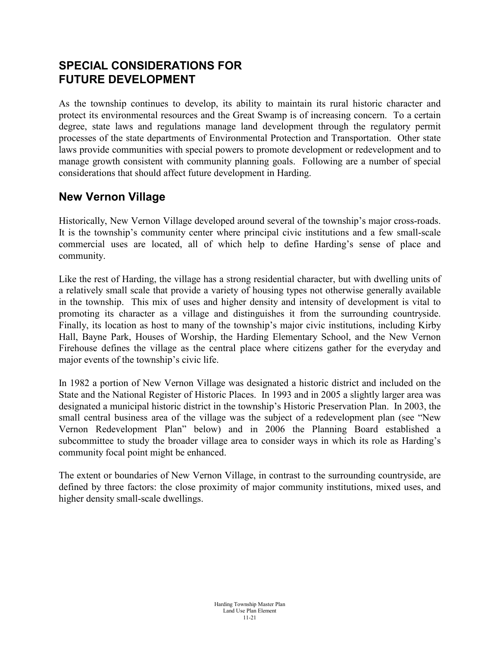#### **SPECIAL CONSIDERATIONS FOR FUTURE DEVELOPMENT**

As the township continues to develop, its ability to maintain its rural historic character and protect its environmental resources and the Great Swamp is of increasing concern. To a certain degree, state laws and regulations manage land development through the regulatory permit processes of the state departments of Environmental Protection and Transportation. Other state laws provide communities with special powers to promote development or redevelopment and to manage growth consistent with community planning goals. Following are a number of special considerations that should affect future development in Harding.

#### **New Vernon Village**

Historically, New Vernon Village developed around several of the township's major cross-roads. It is the township's community center where principal civic institutions and a few small-scale commercial uses are located, all of which help to define Harding's sense of place and community.

Like the rest of Harding, the village has a strong residential character, but with dwelling units of a relatively small scale that provide a variety of housing types not otherwise generally available in the township. This mix of uses and higher density and intensity of development is vital to promoting its character as a village and distinguishes it from the surrounding countryside. Finally, its location as host to many of the township's major civic institutions, including Kirby Hall, Bayne Park, Houses of Worship, the Harding Elementary School, and the New Vernon Firehouse defines the village as the central place where citizens gather for the everyday and major events of the township's civic life.

In 1982 a portion of New Vernon Village was designated a historic district and included on the State and the National Register of Historic Places. In 1993 and in 2005 a slightly larger area was designated a municipal historic district in the township's Historic Preservation Plan. In 2003, the small central business area of the village was the subject of a redevelopment plan (see "New Vernon Redevelopment Plan" below) and in 2006 the Planning Board established a subcommittee to study the broader village area to consider ways in which its role as Harding's community focal point might be enhanced.

The extent or boundaries of New Vernon Village, in contrast to the surrounding countryside, are defined by three factors: the close proximity of major community institutions, mixed uses, and higher density small-scale dwellings.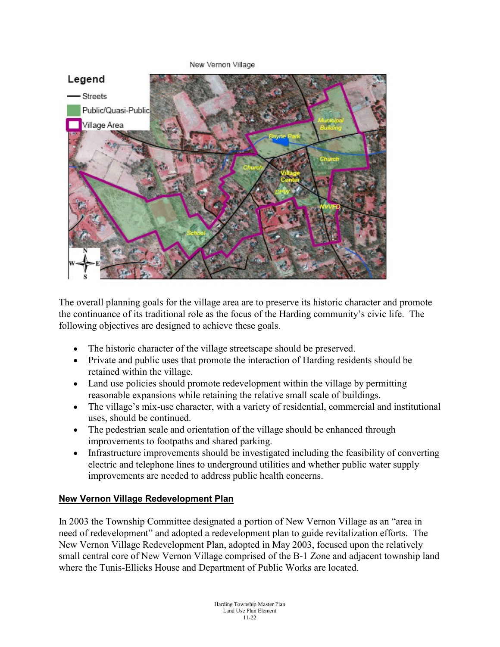

The overall planning goals for the village area are to preserve its historic character and promote the continuance of its traditional role as the focus of the Harding community's civic life. The following objectives are designed to achieve these goals.

- The historic character of the village streetscape should be preserved.
- Private and public uses that promote the interaction of Harding residents should be retained within the village.
- Land use policies should promote redevelopment within the village by permitting reasonable expansions while retaining the relative small scale of buildings.
- The village's mix-use character, with a variety of residential, commercial and institutional uses, should be continued.
- The pedestrian scale and orientation of the village should be enhanced through improvements to footpaths and shared parking.
- Infrastructure improvements should be investigated including the feasibility of converting electric and telephone lines to underground utilities and whether public water supply improvements are needed to address public health concerns.

#### **New Vernon Village Redevelopment Plan**

In 2003 the Township Committee designated a portion of New Vernon Village as an "area in need of redevelopment" and adopted a redevelopment plan to guide revitalization efforts. The New Vernon Village Redevelopment Plan, adopted in May 2003, focused upon the relatively small central core of New Vernon Village comprised of the B-1 Zone and adjacent township land where the Tunis-Ellicks House and Department of Public Works are located.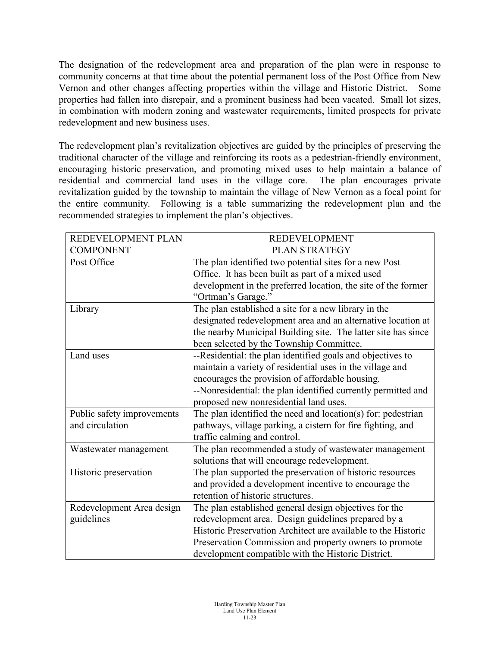The designation of the redevelopment area and preparation of the plan were in response to community concerns at that time about the potential permanent loss of the Post Office from New Vernon and other changes affecting properties within the village and Historic District. Some properties had fallen into disrepair, and a prominent business had been vacated. Small lot sizes, in combination with modern zoning and wastewater requirements, limited prospects for private redevelopment and new business uses.

The redevelopment plan's revitalization objectives are guided by the principles of preserving the traditional character of the village and reinforcing its roots as a pedestrian-friendly environment, encouraging historic preservation, and promoting mixed uses to help maintain a balance of residential and commercial land uses in the village core. The plan encourages private revitalization guided by the township to maintain the village of New Vernon as a focal point for the entire community. Following is a table summarizing the redevelopment plan and the recommended strategies to implement the plan's objectives.

| REDEVELOPMENT PLAN         | <b>REDEVELOPMENT</b>                                          |
|----------------------------|---------------------------------------------------------------|
| <b>COMPONENT</b>           | PLAN STRATEGY                                                 |
| Post Office                | The plan identified two potential sites for a new Post        |
|                            | Office. It has been built as part of a mixed used             |
|                            | development in the preferred location, the site of the former |
|                            | "Ortman's Garage."                                            |
| Library                    | The plan established a site for a new library in the          |
|                            | designated redevelopment area and an alternative location at  |
|                            | the nearby Municipal Building site. The latter site has since |
|                            | been selected by the Township Committee.                      |
| Land uses                  | --Residential: the plan identified goals and objectives to    |
|                            | maintain a variety of residential uses in the village and     |
|                            | encourages the provision of affordable housing.               |
|                            | --Nonresidential: the plan identified currently permitted and |
|                            | proposed new nonresidential land uses.                        |
| Public safety improvements | The plan identified the need and location(s) for: pedestrian  |
| and circulation            | pathways, village parking, a cistern for fire fighting, and   |
|                            | traffic calming and control.                                  |
| Wastewater management      | The plan recommended a study of wastewater management         |
|                            | solutions that will encourage redevelopment.                  |
| Historic preservation      | The plan supported the preservation of historic resources     |
|                            | and provided a development incentive to encourage the         |
|                            | retention of historic structures.                             |
| Redevelopment Area design  | The plan established general design objectives for the        |
| guidelines                 | redevelopment area. Design guidelines prepared by a           |
|                            | Historic Preservation Architect are available to the Historic |
|                            | Preservation Commission and property owners to promote        |
|                            | development compatible with the Historic District.            |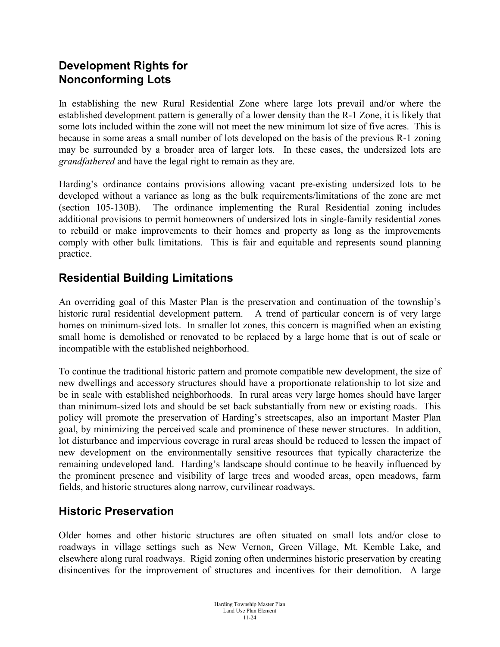# **Development Rights for Nonconforming Lots**

In establishing the new Rural Residential Zone where large lots prevail and/or where the established development pattern is generally of a lower density than the R-1 Zone, it is likely that some lots included within the zone will not meet the new minimum lot size of five acres. This is because in some areas a small number of lots developed on the basis of the previous R-1 zoning may be surrounded by a broader area of larger lots. In these cases, the undersized lots are *grandfathered* and have the legal right to remain as they are.

Harding's ordinance contains provisions allowing vacant pre-existing undersized lots to be developed without a variance as long as the bulk requirements/limitations of the zone are met (section 105-130B). The ordinance implementing the Rural Residential zoning includes additional provisions to permit homeowners of undersized lots in single-family residential zones to rebuild or make improvements to their homes and property as long as the improvements comply with other bulk limitations. This is fair and equitable and represents sound planning practice.

#### **Residential Building Limitations**

An overriding goal of this Master Plan is the preservation and continuation of the township's historic rural residential development pattern. A trend of particular concern is of very large homes on minimum-sized lots. In smaller lot zones, this concern is magnified when an existing small home is demolished or renovated to be replaced by a large home that is out of scale or incompatible with the established neighborhood.

To continue the traditional historic pattern and promote compatible new development, the size of new dwellings and accessory structures should have a proportionate relationship to lot size and be in scale with established neighborhoods. In rural areas very large homes should have larger than minimum-sized lots and should be set back substantially from new or existing roads. This policy will promote the preservation of Harding's streetscapes, also an important Master Plan goal, by minimizing the perceived scale and prominence of these newer structures. In addition, lot disturbance and impervious coverage in rural areas should be reduced to lessen the impact of new development on the environmentally sensitive resources that typically characterize the remaining undeveloped land. Harding's landscape should continue to be heavily influenced by the prominent presence and visibility of large trees and wooded areas, open meadows, farm fields, and historic structures along narrow, curvilinear roadways.

# **Historic Preservation**

Older homes and other historic structures are often situated on small lots and/or close to roadways in village settings such as New Vernon, Green Village, Mt. Kemble Lake, and elsewhere along rural roadways. Rigid zoning often undermines historic preservation by creating disincentives for the improvement of structures and incentives for their demolition. A large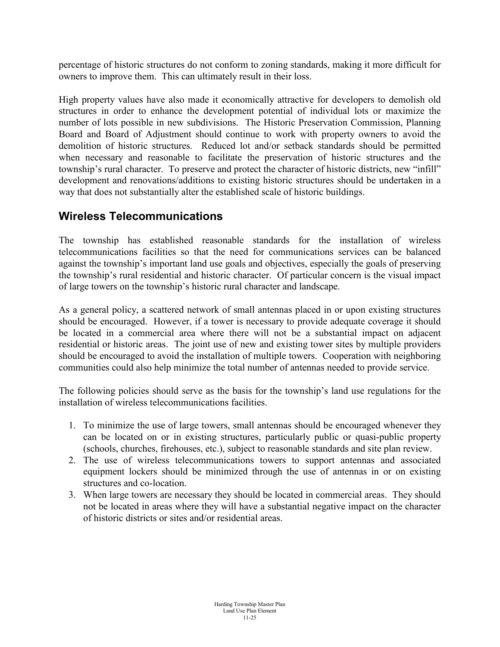percentage of historic structures do not conform to zoning standards, making it more difficult for owners to improve them. This can ultimately result in their loss.

High property values have also made it economically attractive for developers to demolish old structures in order to enhance the development potential of individual lots or maximize the number of lots possible in new subdivisions. The Historic Preservation Commission, Planning Board and Board of Adjustment should continue to work with property owners to avoid the demolition of historic structures. Reduced lot and/or setback standards should be permitted when necessary and reasonable to facilitate the preservation of historic structures and the township's rural character. To preserve and protect the character of historic districts, new "infill" development and renovations/additions to existing historic structures should be undertaken in a way that does not substantially alter the established scale of historic buildings.

#### **Wireless Telecommunications**

The township has established reasonable standards for the installation of wireless telecommunications facilities so that the need for communications services can be balanced against the township's important land use goals and objectives, especially the goals of preserving the township's rural residential and historic character. Of particular concern is the visual impact of large towers on the township's historic rural character and landscape.

As a general policy, a scattered network of small antennas placed in or upon existing structures should be encouraged. However, if a tower is necessary to provide adequate coverage it should be located in a commercial area where there will not be a substantial impact on adjacent residential or historic areas. The joint use of new and existing tower sites by multiple providers should be encouraged to avoid the installation of multiple towers. Cooperation with neighboring communities could also help minimize the total number of antennas needed to provide service.

The following policies should serve as the basis for the township's land use regulations for the installation of wireless telecommunications facilities.

- 1. To minimize the use of large towers, small antennas should be encouraged whenever they can be located on or in existing structures, particularly public or quasi-public property (schools, churches, firehouses, etc.), subject to reasonable standards and site plan review.
- 2. The use of wireless telecommunications towers to support antennas and associated equipment lockers should be minimized through the use of antennas in or on existing structures and co-location.
- 3. When large towers are necessary they should be located in commercial areas. They should not be located in areas where they will have a substantial negative impact on the character of historic districts or sites and/or residential areas.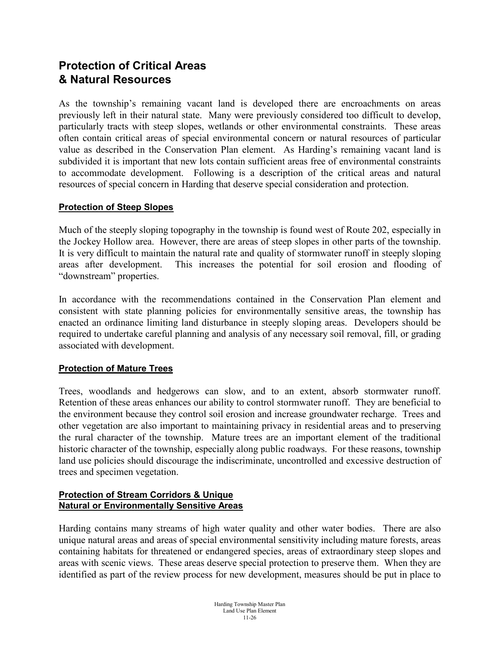#### **Protection of Critical Areas & Natural Resources**

As the township's remaining vacant land is developed there are encroachments on areas previously left in their natural state. Many were previously considered too difficult to develop, particularly tracts with steep slopes, wetlands or other environmental constraints. These areas often contain critical areas of special environmental concern or natural resources of particular value as described in the Conservation Plan element. As Harding's remaining vacant land is subdivided it is important that new lots contain sufficient areas free of environmental constraints to accommodate development. Following is a description of the critical areas and natural resources of special concern in Harding that deserve special consideration and protection.

#### **Protection of Steep Slopes**

Much of the steeply sloping topography in the township is found west of Route 202, especially in the Jockey Hollow area. However, there are areas of steep slopes in other parts of the township. It is very difficult to maintain the natural rate and quality of stormwater runoff in steeply sloping areas after development. This increases the potential for soil erosion and flooding of "downstream" properties.

In accordance with the recommendations contained in the Conservation Plan element and consistent with state planning policies for environmentally sensitive areas, the township has enacted an ordinance limiting land disturbance in steeply sloping areas. Developers should be required to undertake careful planning and analysis of any necessary soil removal, fill, or grading associated with development.

#### **Protection of Mature Trees**

Trees, woodlands and hedgerows can slow, and to an extent, absorb stormwater runoff. Retention of these areas enhances our ability to control stormwater runoff. They are beneficial to the environment because they control soil erosion and increase groundwater recharge. Trees and other vegetation are also important to maintaining privacy in residential areas and to preserving the rural character of the township. Mature trees are an important element of the traditional historic character of the township, especially along public roadways. For these reasons, township land use policies should discourage the indiscriminate, uncontrolled and excessive destruction of trees and specimen vegetation.

#### **Protection of Stream Corridors & Unique Natural or Environmentally Sensitive Areas**

Harding contains many streams of high water quality and other water bodies. There are also unique natural areas and areas of special environmental sensitivity including mature forests, areas containing habitats for threatened or endangered species, areas of extraordinary steep slopes and areas with scenic views. These areas deserve special protection to preserve them. When they are identified as part of the review process for new development, measures should be put in place to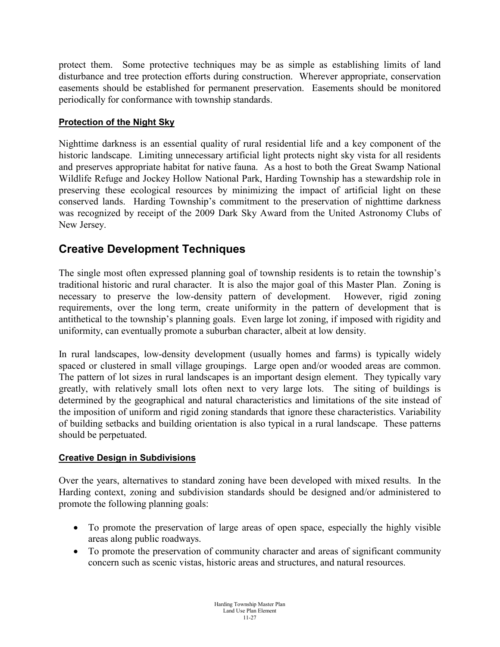protect them. Some protective techniques may be as simple as establishing limits of land disturbance and tree protection efforts during construction. Wherever appropriate, conservation easements should be established for permanent preservation. Easements should be monitored periodically for conformance with township standards.

#### **Protection of the Night Sky**

Nighttime darkness is an essential quality of rural residential life and a key component of the historic landscape. Limiting unnecessary artificial light protects night sky vista for all residents and preserves appropriate habitat for native fauna. As a host to both the Great Swamp National Wildlife Refuge and Jockey Hollow National Park, Harding Township has a stewardship role in preserving these ecological resources by minimizing the impact of artificial light on these conserved lands. Harding Township's commitment to the preservation of nighttime darkness was recognized by receipt of the 2009 Dark Sky Award from the United Astronomy Clubs of New Jersey.

#### **Creative Development Techniques**

The single most often expressed planning goal of township residents is to retain the township's traditional historic and rural character. It is also the major goal of this Master Plan. Zoning is necessary to preserve the low-density pattern of development. However, rigid zoning requirements, over the long term, create uniformity in the pattern of development that is antithetical to the township's planning goals. Even large lot zoning, if imposed with rigidity and uniformity, can eventually promote a suburban character, albeit at low density.

In rural landscapes, low-density development (usually homes and farms) is typically widely spaced or clustered in small village groupings. Large open and/or wooded areas are common. The pattern of lot sizes in rural landscapes is an important design element. They typically vary greatly, with relatively small lots often next to very large lots. The siting of buildings is determined by the geographical and natural characteristics and limitations of the site instead of the imposition of uniform and rigid zoning standards that ignore these characteristics. Variability of building setbacks and building orientation is also typical in a rural landscape. These patterns should be perpetuated.

#### **Creative Design in Subdivisions**

Over the years, alternatives to standard zoning have been developed with mixed results. In the Harding context, zoning and subdivision standards should be designed and/or administered to promote the following planning goals:

- To promote the preservation of large areas of open space, especially the highly visible areas along public roadways.
- To promote the preservation of community character and areas of significant community concern such as scenic vistas, historic areas and structures, and natural resources.